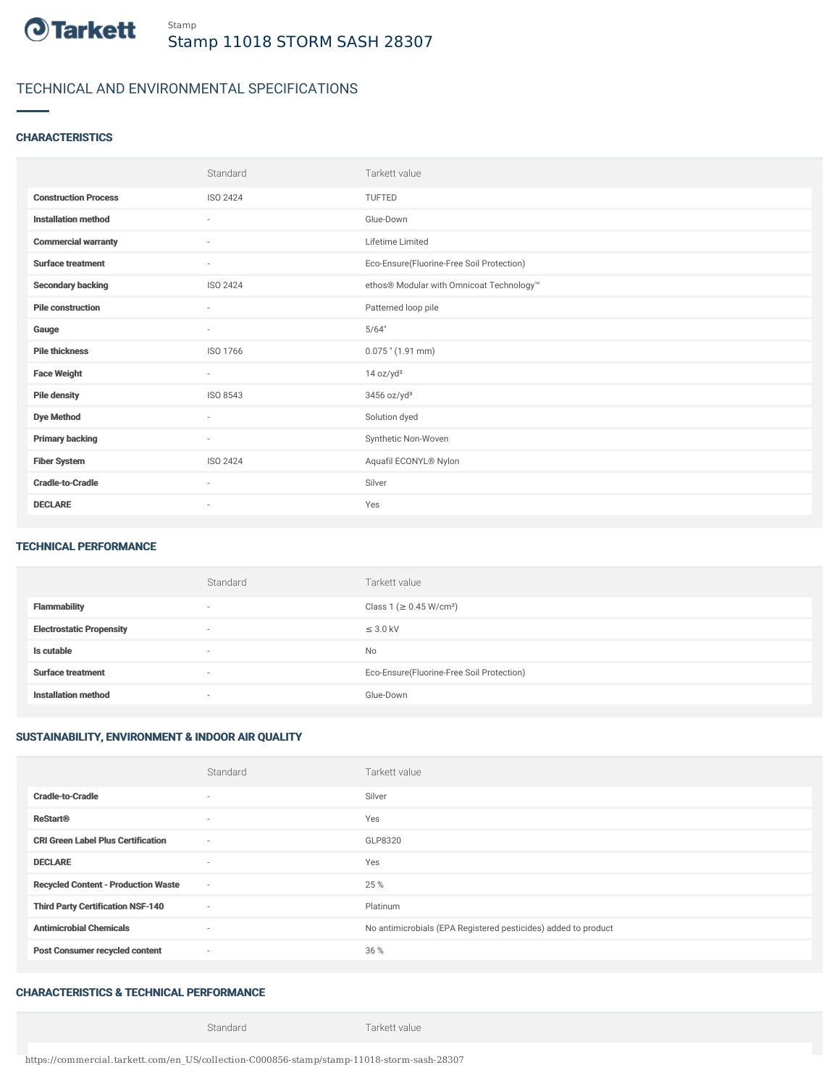

# TECHNICAL AND ENVIRONMENTAL SPECIFICATIONS

### **CHARACTERISTICS**

|                             | Standard                 | Tarkett value                             |
|-----------------------------|--------------------------|-------------------------------------------|
| <b>Construction Process</b> | <b>ISO 2424</b>          | <b>TUFTED</b>                             |
| <b>Installation method</b>  | $\sim$                   | Glue-Down                                 |
| <b>Commercial warranty</b>  | ٠                        | Lifetime Limited                          |
| <b>Surface treatment</b>    | ٠                        | Eco-Ensure(Fluorine-Free Soil Protection) |
| <b>Secondary backing</b>    | ISO 2424                 | ethos® Modular with Omnicoat Technology™  |
| <b>Pile construction</b>    | $\sim$                   | Patterned loop pile                       |
| Gauge                       | ٠                        | 5/64"                                     |
| <b>Pile thickness</b>       | ISO 1766                 | $0.075$ " (1.91 mm)                       |
| <b>Face Weight</b>          | $\overline{\phantom{a}}$ | 14 oz/yd <sup>2</sup>                     |
| <b>Pile density</b>         | ISO 8543                 | $3456$ oz/yd <sup>3</sup>                 |
| <b>Dye Method</b>           | ٠                        | Solution dyed                             |
| <b>Primary backing</b>      | $\sim$                   | Synthetic Non-Woven                       |
| <b>Fiber System</b>         | ISO 2424                 | Aquafil ECONYL® Nylon                     |
| <b>Cradle-to-Cradle</b>     | ٠                        | Silver                                    |
| <b>DECLARE</b>              | ٠                        | Yes                                       |

#### TECHNICAL PERFORMANCE

|                                 | Standard                 | Tarkett value                             |
|---------------------------------|--------------------------|-------------------------------------------|
| Flammability                    |                          | Class 1 (≥ 0.45 W/cm <sup>2</sup> )       |
| <b>Electrostatic Propensity</b> | $\overline{\phantom{a}}$ | $\leq$ 3.0 kV                             |
| Is cutable                      | $\overline{\phantom{a}}$ | No                                        |
| <b>Surface treatment</b>        | $\overline{\phantom{a}}$ | Eco-Ensure(Fluorine-Free Soil Protection) |
| <b>Installation method</b>      |                          | Glue-Down                                 |

## SUSTAINABILITY, ENVIRONMENT & INDOOR AIR QUALITY

|                                            | Standard                 | Tarkett value                                                  |
|--------------------------------------------|--------------------------|----------------------------------------------------------------|
| <b>Cradle-to-Cradle</b>                    | $\sim$                   | Silver                                                         |
| <b>ReStart®</b>                            | $\overline{\phantom{a}}$ | Yes                                                            |
| <b>CRI Green Label Plus Certification</b>  | $\sim$                   | GLP8320                                                        |
| <b>DECLARE</b>                             | $\sim$                   | Yes                                                            |
| <b>Recycled Content - Production Waste</b> | $\sim$                   | 25 %                                                           |
| <b>Third Party Certification NSF-140</b>   | $\sim$                   | Platinum                                                       |
| <b>Antimicrobial Chemicals</b>             | $\sim$                   | No antimicrobials (EPA Registered pesticides) added to product |
| <b>Post Consumer recycled content</b>      | $\sim$                   | 36 %                                                           |

## CHARACTERISTICS & TECHNICAL PERFORMANCE

Standard Tarkett value